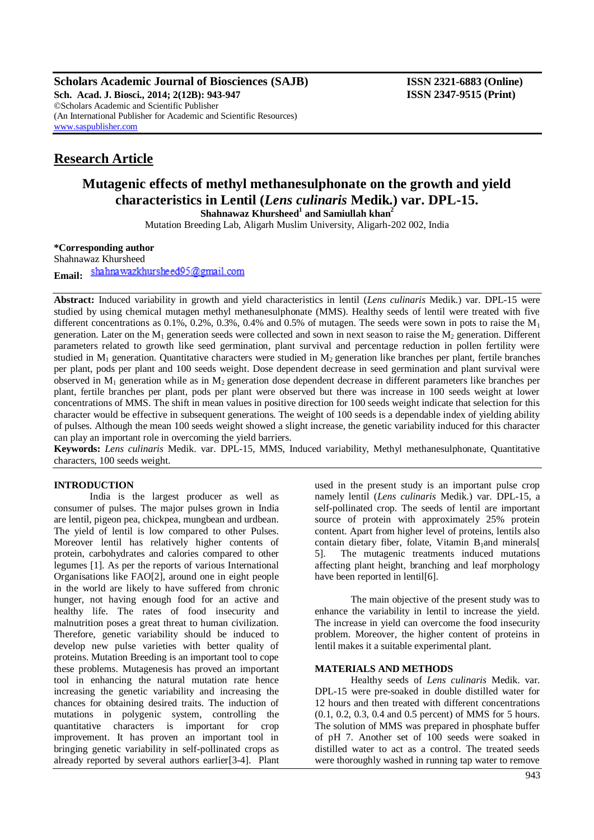**Scholars Academic Journal of Biosciences (SAJB) ISSN 2321-6883 (Online) Sch. Acad. J. Biosci., 2014; 2(12B): 943-947 ISSN 2347-9515 (Print)** ©Scholars Academic and Scientific Publisher (An International Publisher for Academic and Scientific Resources) [www.saspublisher.com](http://www.saspublisher.com/)

# **Research Article**

# **Mutagenic effects of methyl methanesulphonate on the growth and yield characteristics in Lentil (***Lens culinaris* **Medik.) var. DPL-15.**

**Shahnawaz Khursheed<sup>1</sup> and Samiullah khan<sup>2</sup>**

Mutation Breeding Lab, Aligarh Muslim University, Aligarh-202 002, India

**\*Corresponding author**

Shahnawaz Khursheed shahnawazkhursheed95@gmail.com **Email:**

**Abstract:** Induced variability in growth and yield characteristics in lentil (*Lens culinaris* Medik.) var. DPL-15 were studied by using chemical mutagen methyl methanesulphonate (MMS). Healthy seeds of lentil were treated with five different concentrations as  $0.1\%$ ,  $0.2\%$ ,  $0.3\%$ ,  $0.4\%$  and  $0.5\%$  of mutagen. The seeds were sown in pots to raise the M<sub>1</sub> generation. Later on the  $M_1$  generation seeds were collected and sown in next season to raise the  $M_2$  generation. Different parameters related to growth like seed germination, plant survival and percentage reduction in pollen fertility were studied in  $M_1$  generation. Quantitative characters were studied in  $M_2$  generation like branches per plant, fertile branches per plant, pods per plant and 100 seeds weight. Dose dependent decrease in seed germination and plant survival were observed in  $M_1$  generation while as in  $M_2$  generation dose dependent decrease in different parameters like branches per plant, fertile branches per plant, pods per plant were observed but there was increase in 100 seeds weight at lower concentrations of MMS. The shift in mean values in positive direction for 100 seeds weight indicate that selection for this character would be effective in subsequent generations. The weight of 100 seeds is a dependable index of yielding ability of pulses. Although the mean 100 seeds weight showed a slight increase, the genetic variability induced for this character can play an important role in overcoming the yield barriers.

**Keywords:** *Lens culinaris* Medik. var. DPL-15*,* MMS, Induced variability, Methyl methanesulphonate, Quantitative characters, 100 seeds weight.

### **INTRODUCTION**

India is the largest producer as well as consumer of pulses. The major pulses grown in India are lentil, pigeon pea, chickpea, mungbean and urdbean. The yield of lentil is low compared to other Pulses. Moreover lentil has relatively higher contents of protein, carbohydrates and calories compared to other legumes [1]. As per the reports of various International Organisations like FAO[2], around one in eight people in the world are likely to have suffered from chronic hunger, not having enough food for an active and healthy life. The rates of food insecurity and malnutrition poses a great threat to human civilization. Therefore, genetic variability should be induced to develop new pulse varieties with better quality of proteins. Mutation Breeding is an important tool to cope these problems. Mutagenesis has proved an important tool in enhancing the natural mutation rate hence increasing the genetic variability and increasing the chances for obtaining desired traits. The induction of mutations in polygenic system, controlling the quantitative characters is important for crop improvement. It has proven an important tool in bringing genetic variability in self-pollinated crops as already reported by several authors earlier[3-4]. Plant used in the present study is an important pulse crop namely lentil (*Lens culinaris* Medik.) var. DPL-15, a self-pollinated crop. The seeds of lentil are important source of protein with approximately 25% protein content. Apart from higher level of proteins, lentils also contain dietary fiber, folate, Vitamin  $B_1$ and minerals[ 5]. The mutagenic treatments induced mutations affecting plant height, branching and leaf morphology have been reported in lentil<sup>[6]</sup>.

The main objective of the present study was to enhance the variability in lentil to increase the yield. The increase in yield can overcome the food insecurity problem. Moreover, the higher content of proteins in lentil makes it a suitable experimental plant.

#### **MATERIALS AND METHODS**

Healthy seeds of *Lens culinaris* Medik. var. DPL-15 were pre-soaked in double distilled water for 12 hours and then treated with different concentrations (0.1, 0.2, 0.3, 0.4 and 0.5 percent) of MMS for 5 hours. The solution of MMS was prepared in phosphate buffer of pH 7. Another set of 100 seeds were soaked in distilled water to act as a control. The treated seeds were thoroughly washed in running tap water to remove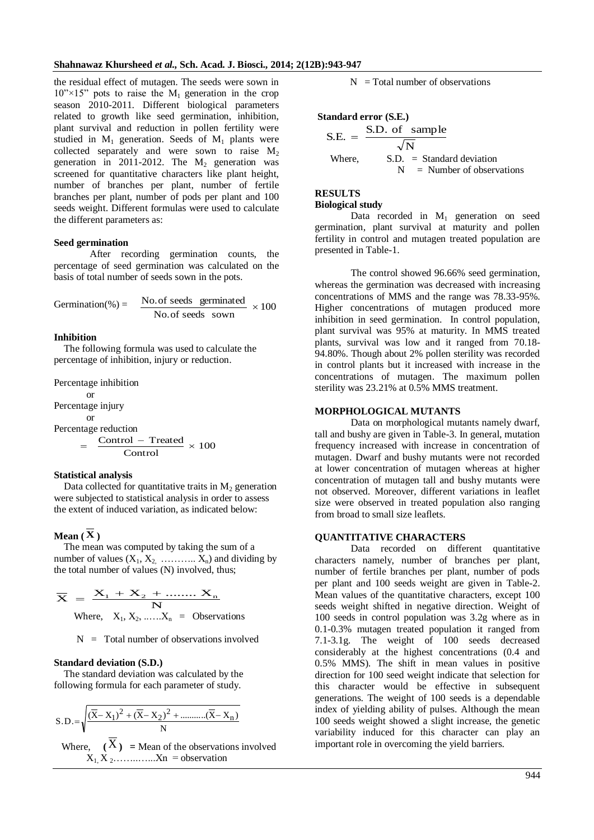the residual effect of mutagen. The seeds were sown in  $10'' \times 15''$  pots to raise the M<sub>1</sub> generation in the crop season 2010-2011. Different biological parameters related to growth like seed germination, inhibition, plant survival and reduction in pollen fertility were studied in  $M_1$  generation. Seeds of  $M_1$  plants were collected separately and were sown to raise  $M_2$ generation in 2011-2012. The  $M_2$  generation was screened for quantitative characters like plant height, number of branches per plant, number of fertile branches per plant, number of pods per plant and 100 seeds weight. Different formulas were used to calculate the different parameters as:

#### **Seed germination**

After recording germination counts, the percentage of seed germination was calculated on the basis of total number of seeds sown in the pots.

$$
Germanation(\%) = \frac{No. of seeds germinated}{No. of seeds sown} \times 100
$$

#### **Inhibition**

The following formula was used to calculate the percentage of inhibition, injury or reduction.

Percentage inhibition or Percentage injury or Percentage reduction  $\frac{\text{Control} - \text{Treated}}{9 \times 100} \times 100$ Control  $=$ 

#### **Statistical analysis**

Data collected for quantitative traits in  $M<sub>2</sub>$  generation were subjected to statistical analysis in order to assess the extent of induced variation, as indicated below:

## $\mathbf{Mean}\left(\overline{\mathbf{X}}\right)$

The mean was computed by taking the sum of a number of values  $(X_1, X_2, \ldots, X_n)$  and dividing by the total number of values (N) involved, thus;

$$
\overline{\mathbf{X}} = \frac{\mathbf{X}_1 + \mathbf{X}_2 + \dots + \mathbf{X}_n}{N}
$$
  
Where,  $X_1, X_2, \dots, X_n = \text{Observations}$ 

 $N =$  Total number of observations involved

#### **Standard deviation (S.D.)**

The standard deviation was calculated by the following formula for each parameter of study.

$$
S.D.=\sqrt{\frac{(\overline{X}-X_1)^2 + (\overline{X}-X_2)^2 + \dots + (\overline{X}-X_n)}{N}}
$$
  
Where,  $(\overline{X})$  = Mean of the observations involved  
 $X_1, X_2, \dots, X_n$  = observation

 $N = Total number of observations$ 

**Standard error (S.E.)**

S.E. = 
$$
\frac{\text{S.D. of sample}}{\sqrt{\text{N}}}
$$
  
Where, S.D. = Standard deviation  
N = Number of observations

# **RESULTS**

**Biological study**

Data recorded in  $M_1$  generation on seed germination, plant survival at maturity and pollen fertility in control and mutagen treated population are presented in Table-1.

The control showed 96.66% seed germination, whereas the germination was decreased with increasing concentrations of MMS and the range was 78.33-95%. Higher concentrations of mutagen produced more inhibition in seed germination. In control population, plant survival was 95% at maturity. In MMS treated plants, survival was low and it ranged from 70.18- 94.80%. Though about 2% pollen sterility was recorded in control plants but it increased with increase in the concentrations of mutagen. The maximum pollen sterility was 23.21% at 0.5% MMS treatment.

#### **MORPHOLOGICAL MUTANTS**

Data on morphological mutants namely dwarf, tall and bushy are given in Table-3. In general, mutation frequency increased with increase in concentration of mutagen. Dwarf and bushy mutants were not recorded at lower concentration of mutagen whereas at higher concentration of mutagen tall and bushy mutants were not observed. Moreover, different variations in leaflet size were observed in treated population also ranging from broad to small size leaflets.

#### **QUANTITATIVE CHARACTERS**

Data recorded on different quantitative characters namely, number of branches per plant, number of fertile branches per plant, number of pods per plant and 100 seeds weight are given in Table-2. Mean values of the quantitative characters, except 100 seeds weight shifted in negative direction. Weight of 100 seeds in control population was 3.2g where as in 0.1-0.3% mutagen treated population it ranged from 7.1-3.1g. The weight of 100 seeds decreased considerably at the highest concentrations (0.4 and 0.5% MMS). The shift in mean values in positive direction for 100 seed weight indicate that selection for this character would be effective in subsequent generations. The weight of 100 seeds is a dependable index of yielding ability of pulses. Although the mean 100 seeds weight showed a slight increase, the genetic variability induced for this character can play an important role in overcoming the yield barriers.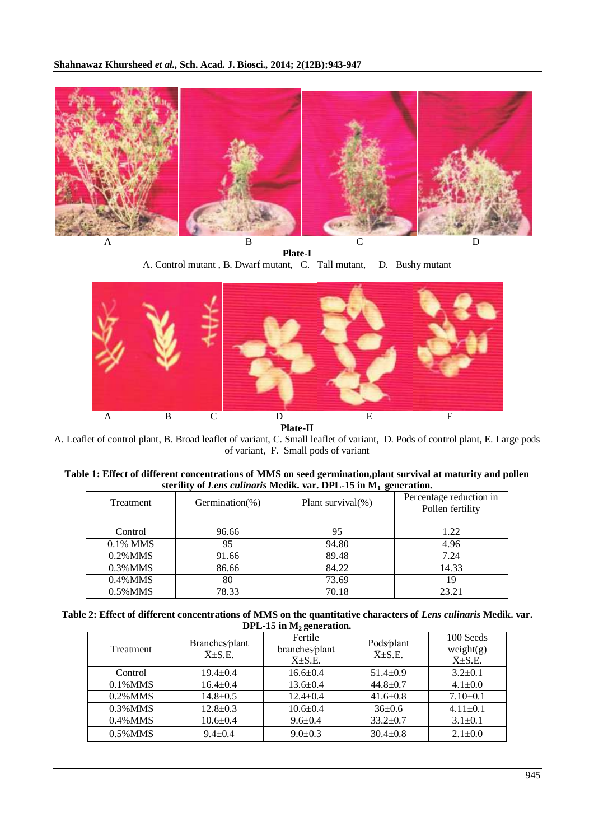

**Plate-I** A. Control mutant , B. Dwarf mutant, C. Tall mutant, D. Bushy mutant



A. Leaflet of control plant, B. Broad leaflet of variant, C. Small leaflet of variant, D. Pods of control plant, E. Large pods of variant, F. Small pods of variant

| Table 1: Effect of different concentrations of MMS on seed germination, plant survival at maturity and pollen |  |
|---------------------------------------------------------------------------------------------------------------|--|
| sterility of Lens culinaris Medik. var. DPL-15 in $M_1$ generation.                                           |  |

| Treatment   | Germination(%) | Plant survival $(\%)$ | Percentage reduction in<br>Pollen fertility |
|-------------|----------------|-----------------------|---------------------------------------------|
|             |                |                       |                                             |
| Control     | 96.66          | 95                    | 1.22                                        |
| 0.1% MMS    | 95             | 94.80                 | 4.96                                        |
| $0.2\%$ MMS | 91.66          | 89.48                 | 7.24                                        |
| $0.3\%$ MMS | 86.66          | 84.22                 | 14.33                                       |
| $0.4\%$ MMS | 80             | 73.69                 | 19                                          |
| $0.5\%$ MMS | 78.33          | 70.18                 | 23.21                                       |

Table 2: Effect of different concentrations of MMS on the quantitative characters of *Lens culinaris* Medik. var. **DPL-15 in M2 generation.**

| <b>Treatment</b> | Branches/plant<br>$\overline{X} \pm S.E.$ | Fertile<br>branches/plant<br>$\overline{X} \pm S.E.$ | Pods/plant<br>$\overline{X} \pm S.E.$ | 100 Seeds<br>weight(g)<br>$\overline{X} \pm S.E.$ |
|------------------|-------------------------------------------|------------------------------------------------------|---------------------------------------|---------------------------------------------------|
| Control          | $19.4 \pm 0.4$                            | $16.6 \pm 0.4$                                       | $51.4 \pm 0.9$                        | $3.2 \pm 0.1$                                     |
| $0.1\%$ MMS      | $16.4 \pm 0.4$                            | $13.6 \pm 0.4$                                       | $44.8 \pm 0.7$                        | $4.1 \pm 0.0$                                     |
| $0.2\%$ MMS      | $14.8 \pm 0.5$                            | $12.4 \pm 0.4$                                       | $41.6 \pm 0.8$                        | $7.10 \pm 0.1$                                    |
| $0.3\%$ MMS      | $12.8 \pm 0.3$                            | $10.6 \pm 0.4$                                       | $36 \pm 0.6$                          | $4.11 \pm 0.1$                                    |
| $0.4\%$ MMS      | $10.6 \pm 0.4$                            | $9.6 \pm 0.4$                                        | $33.2 \pm 0.7$                        | $3.1 \pm 0.1$                                     |
| $0.5\%$ MMS      | $9.4 + 0.4$                               | $9.0 \pm 0.3$                                        | $30.4 \pm 0.8$                        | $2.1 \pm 0.0$                                     |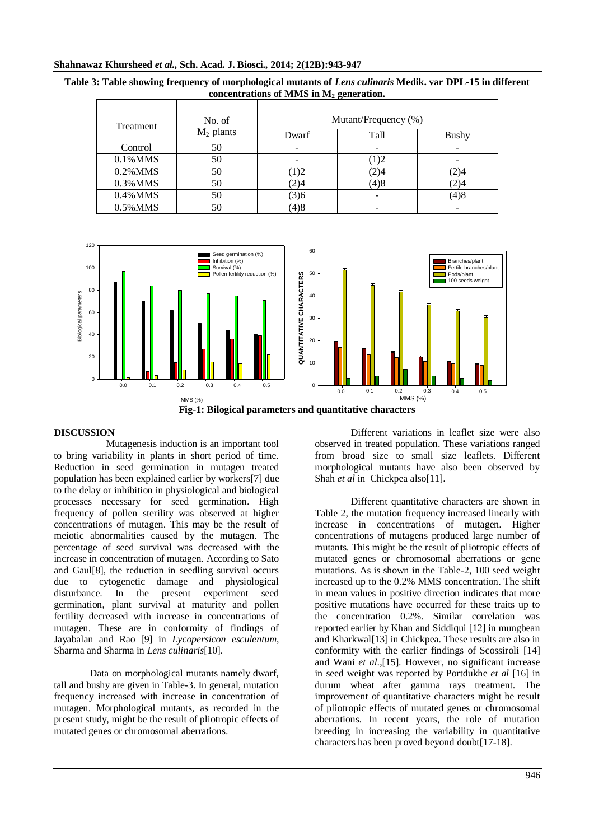|                                            |  |  | Table 3: Table showing frequency of morphological mutants of Lens culinaris Medik. var DPL-15 in different |  |  |
|--------------------------------------------|--|--|------------------------------------------------------------------------------------------------------------|--|--|
| concentrations of MMS in $M_2$ generation. |  |  |                                                                                                            |  |  |
|                                            |  |  |                                                                                                            |  |  |

| Treatment   | No. of<br>$M_2$ plants | Mutant/Frequency (%) |      |              |
|-------------|------------------------|----------------------|------|--------------|
|             |                        | Dwarf                | Tall | <b>Bushy</b> |
| Control     | 50                     |                      |      |              |
| 0.1% MMS    | 50                     |                      | (1)2 |              |
| $0.2\%$ MMS | 50                     | 1)2                  | (2)4 | 2)4          |
| 0.3% MMS    | 50                     | 2)4                  | (4)8 | 2)4          |
| $0.4\%$ MMS | 50                     | (3)6                 |      | (4)8         |
| 0.5% MMS    | 50                     | (4)8                 |      |              |





## **DISCUSSION**

 Mutagenesis induction is an important tool to bring variability in plants in short period of time. Reduction in seed germination in mutagen treated population has been explained earlier by workers[7] due to the delay or inhibition in physiological and biological processes necessary for seed germination. High frequency of pollen sterility was observed at higher concentrations of mutagen. This may be the result of meiotic abnormalities caused by the mutagen. The percentage of seed survival was decreased with the increase in concentration of mutagen. According to Sato and Gaul[8], the reduction in seedling survival occurs due to cytogenetic damage and physiological disturbance. In the present experiment seed germination, plant survival at maturity and pollen fertility decreased with increase in concentrations of mutagen. These are in conformity of findings of Jayabalan and Rao [9] in *Lycopersicon esculentum*, Sharma and Sharma in *Lens culinaris*[10].

Data on morphological mutants namely dwarf, tall and bushy are given in Table-3. In general, mutation frequency increased with increase in concentration of mutagen. Morphological mutants, as recorded in the present study, might be the result of pliotropic effects of mutated genes or chromosomal aberrations.

Different variations in leaflet size were also observed in treated population. These variations ranged from broad size to small size leaflets. Different morphological mutants have also been observed by Shah *et al* in Chickpea also[11].

Different quantitative characters are shown in Table 2, the mutation frequency increased linearly with increase in concentrations of mutagen. Higher concentrations of mutagens produced large number of mutants. This might be the result of pliotropic effects of mutated genes or chromosomal aberrations or gene mutations. As is shown in the Table-2, 100 seed weight increased up to the 0.2% MMS concentration. The shift in mean values in positive direction indicates that more positive mutations have occurred for these traits up to the concentration 0.2%. Similar correlation was reported earlier by Khan and Siddiqui [12] in mungbean and Kharkwal[13] in Chickpea. These results are also in conformity with the earlier findings of Scossiroli [14] and Wani *et al*.,[15]. However, no significant increase in seed weight was reported by Portdukhe *et al* [16] in durum wheat after gamma rays treatment. The improvement of quantitative characters might be result of pliotropic effects of mutated genes or chromosomal aberrations. In recent years, the role of mutation breeding in increasing the variability in quantitative characters has been proved beyond doubt[17-18].